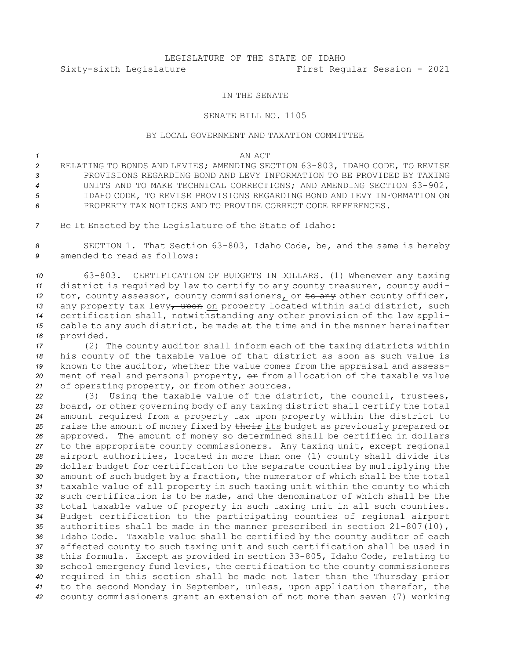# LEGISLATURE OF THE STATE OF IDAHO Sixty-sixth Legislature First Regular Session - 2021

### IN THE SENATE

### SENATE BILL NO. 1105

## BY LOCAL GOVERNMENT AND TAXATION COMMITTEE

### *1* AN ACT

- *<sup>2</sup>* RELATING TO BONDS AND LEVIES; AMENDING SECTION 63-803, IDAHO CODE, TO REVISE *3* PROVISIONS REGARDING BOND AND LEVY INFORMATION TO BE PROVIDED BY TAXING *<sup>4</sup>* UNITS AND TO MAKE TECHNICAL CORRECTIONS; AND AMENDING SECTION 63-902, *5* IDAHO CODE, TO REVISE PROVISIONS REGARDING BOND AND LEVY INFORMATION ON *6* PROPERTY TAX NOTICES AND TO PROVIDE CORRECT CODE REFERENCES.
- *<sup>7</sup>* Be It Enacted by the Legislature of the State of Idaho:

*<sup>8</sup>* SECTION 1. That Section 63-803, Idaho Code, be, and the same is hereby *9* amended to read as follows:

 63-803. CERTIFICATION OF BUDGETS IN DOLLARS. (1) Whenever any taxing district is required by law to certify to any county treasurer, county audi-12 tor, county assessor, county commissioners, or  $t$ o any other county officer, 13 any property tax levy<sub>7</sub> upon on property located within said district, such certification shall, notwithstanding any other provision of the law appli- cable to any such district, be made at the time and in the manner hereinafter provided.

 (2) The county auditor shall inform each of the taxing districts within his county of the taxable value of that district as soon as such value is known to the auditor, whether the value comes from the appraisal and assess-20 ment of real and personal property,  $\Theta$  from allocation of the taxable value of operating property, or from other sources.

 (3) Using the taxable value of the district, the council, trustees, board, or other governing body of any taxing district shall certify the total amount required from <sup>a</sup> property tax upon property within the district to 25 raise the amount of money fixed by their its budget as previously prepared or approved. The amount of money so determined shall be certified in dollars to the appropriate county commissioners. Any taxing unit, except regional airport authorities, located in more than one (1) county shall divide its dollar budget for certification to the separate counties by multiplying the amount of such budget by <sup>a</sup> fraction, the numerator of which shall be the total taxable value of all property in such taxing unit within the county to which such certification is to be made, and the denominator of which shall be the total taxable value of property in such taxing unit in all such counties. Budget certification to the participating counties of regional airport authorities shall be made in the manner prescribed in section 21-807(10), Idaho Code. Taxable value shall be certified by the county auditor of each affected county to such taxing unit and such certification shall be used in this formula. Except as provided in section 33-805, Idaho Code, relating to school emergency fund levies, the certification to the county commissioners required in this section shall be made not later than the Thursday prior to the second Monday in September, unless, upon application therefor, the county commissioners grant an extension of not more than seven (7) working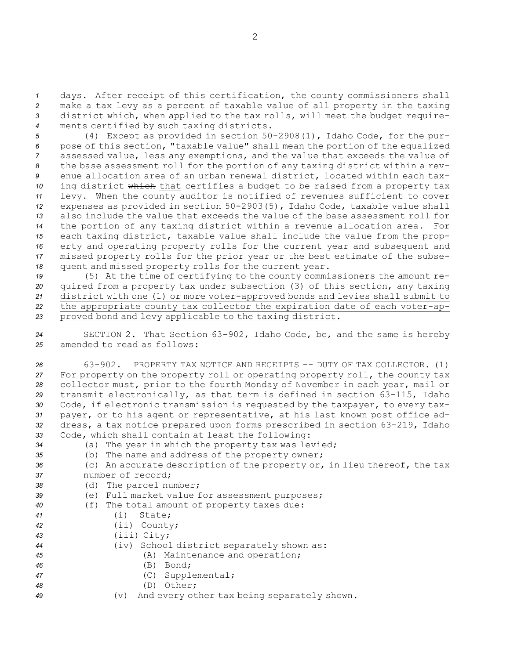days. After receipt of this certification, the county commissioners shall make <sup>a</sup> tax levy as <sup>a</sup> percent of taxable value of all property in the taxing district which, when applied to the tax rolls, will meet the budget require-ments certified by such taxing districts.

 (4) Except as provided in section 50-2908(1), Idaho Code, for the pur- pose of this section, "taxable value" shall mean the portion of the equalized assessed value, less any exemptions, and the value that exceeds the value of the base assessment roll for the portion of any taxing district within <sup>a</sup> rev- enue allocation area of an urban renewal district, located within each tax-10 ing district which that certifies a budget to be raised from a property tax levy. When the county auditor is notified of revenues sufficient to cover expenses as provided in section 50-2903(5), Idaho Code, taxable value shall also include the value that exceeds the value of the base assessment roll for the portion of any taxing district within <sup>a</sup> revenue allocation area. For each taxing district, taxable value shall include the value from the prop- erty and operating property rolls for the current year and subsequent and missed property rolls for the prior year or the best estimate of the subse-quent and missed property rolls for the current year.

 (5) At the time of certifying to the county commissioners the amount re- quired from <sup>a</sup> property tax under subsection (3) of this section, any taxing district with one (1) or more voter-approved bonds and levies shall submit to the appropriate county tax collector the expiration date of each voter-ap-proved bond and levy applicable to the taxing district.

*<sup>24</sup>* SECTION 2. That Section 63-902, Idaho Code, be, and the same is hereby *25* amended to read as follows:

 63-902. PROPERTY TAX NOTICE AND RECEIPTS -- DUTY OF TAX COLLECTOR. (1) For property on the property roll or operating property roll, the county tax collector must, prior to the fourth Monday of November in each year, mail or transmit electronically, as that term is defined in section 63-115, Idaho Code, if electronic transmission is requested by the taxpayer, to every tax- payer, or to his agent or representative, at his last known post office ad- dress, <sup>a</sup> tax notice prepared upon forms prescribed in section 63-219, Idaho Code, which shall contain at least the following:

- *<sup>34</sup>* (a) The year in which the property tax was levied;
- *<sup>35</sup>* (b) The name and address of the property owner;
- *<sup>36</sup>* (c) An accurate description of the property or, in lieu thereof, the tax *37* number of record;
- *<sup>38</sup>* (d) The parcel number;
- *<sup>39</sup>* (e) Full market value for assessment purposes;
- *<sup>40</sup>* (f) The total amount of property taxes due:
- *<sup>41</sup>* (i) State;
- *<sup>42</sup>* (ii) County;
- *<sup>43</sup>* (iii) City;
- *<sup>44</sup>* (iv) School district separately shown as:
- *<sup>45</sup>* (A) Maintenance and operation;
- *46* (B) Bond;
- *<sup>47</sup>* (C) Supplemental;
- *48* (D) Other;
- *<sup>49</sup>* (v) And every other tax being separately shown.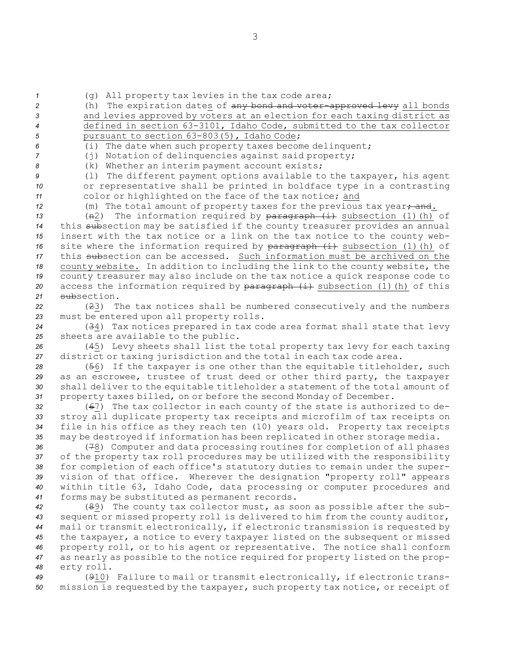*<sup>1</sup>* (g) All property tax levies in the tax code area;

 (h) The expiration dates of any bond and voter-approved levy all bonds and levies approved by voters at an election for each taxing district as defined in section 63-3101, Idaho Code, submitted to the tax collector 5 pursuant to section 63-803(5), Idaho Code;

*<sup>6</sup>* (i) The date when such property taxes become delinquent;

*<sup>7</sup>* (j) Notation of delinquencies against said property;

*<sup>8</sup>* (k) Whether an interim payment account exists;

*<sup>9</sup>* (l) The different payment options available to the taxpayer, his agent *<sup>10</sup>* or representative shall be printed in boldface type in <sup>a</sup> contrasting *<sup>11</sup>* color or highlighted on the face of the tax notice; and

12 (m) The total amount of property taxes for the previous tax year, and.

13 (n2) The information required by paragraph (i) subsection (1)(h) of this subsection may be satisfied if the county treasurer provides an annual insert with the tax notice or <sup>a</sup> link on the tax notice to the county web-16 site where the information required by paragraph (i) subsection (1) (h) of this subsection can be accessed. Such information must be archived on the county website. In addition to including the link to the county website, the county treasurer may also include on the tax notice <sup>a</sup> quick response code to 20 access the information required by paragraph (i) subsection (1)(h) of this subsection.

*<sup>22</sup>* (23) The tax notices shall be numbered consecutively and the numbers *<sup>23</sup>* must be entered upon all property rolls.

*<sup>24</sup>* (34) Tax notices prepared in tax code area format shall state that levy *<sup>25</sup>* sheets are available to the public.

*<sup>26</sup>* (45) Levy sheets shall list the total property tax levy for each taxing *<sup>27</sup>* district or taxing jurisdiction and the total in each tax code area.

 (56) If the taxpayer is one other than the equitable titleholder, such as an escrowee, trustee of trust deed or other third party, the taxpayer shall deliver to the equitable titleholder <sup>a</sup> statement of the total amount of property taxes billed, on or before the second Monday of December.

 (67) The tax collector in each county of the state is authorized to de- stroy all duplicate property tax receipts and microfilm of tax receipts on file in his office as they reach ten (10) years old. Property tax receipts may be destroyed if information has been replicated in other storage media.

 (78) Computer and data processing routines for completion of all phases of the property tax roll procedures may be utilized with the responsibility for completion of each office's statutory duties to remain under the super- vision of that office. Wherever the designation "property roll" appears within title 63, Idaho Code, data processing or computer procedures and forms may be substituted as permanent records.

 (89) The county tax collector must, as soon as possible after the sub- sequent or missed property roll is delivered to him from the county auditor, mail or transmit electronically, if electronic transmission is requested by the taxpayer, <sup>a</sup> notice to every taxpayer listed on the subsequent or missed property roll, or to his agent or representative. The notice shall conform as nearly as possible to the notice required for property listed on the prop-erty roll.

*<sup>49</sup>* (910) Failure to mail or transmit electronically, if electronic trans-*<sup>50</sup>* mission is requested by the taxpayer, such property tax notice, or receipt of